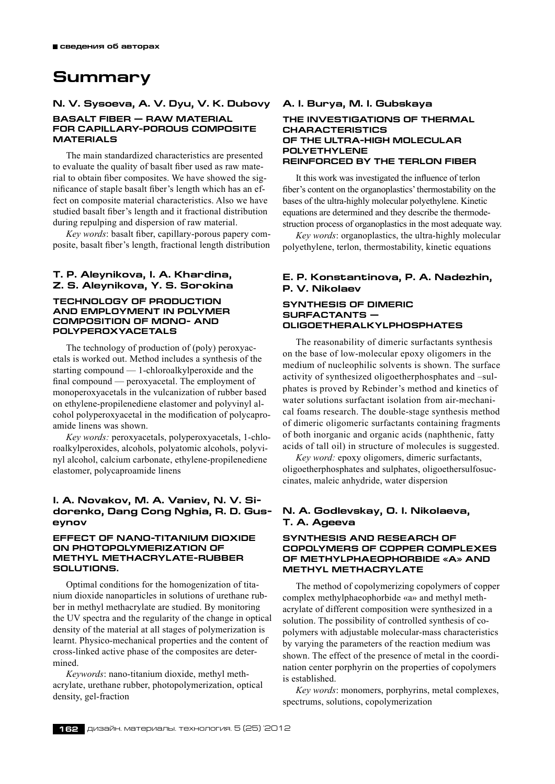## **Summary**

## **N. V. Sysoeva, A. V. Dyu, V. K. Dubovy Basalt fiber — raw material**

## **for capillary-porous composite materials**

The main standardized characteristics are presented to evaluate the quality of basalt fiber used as raw material to obtain fiber composites. We have showed the significance of staple basalt fiber's length which has an effect on composite material characteristics. Also we have studied basalt fiber's length and it fractional distribution during repulping and dispersion of raw material.

*Key words*: basalt fiber, capillary-porous papery composite, basalt fiber's length, fractional length distribution

#### **T. P. Aleynikova, I. A. Khardina, Z. S. Aleynikova, Y. S. Sorokina**

#### **TECHNOLOGY OF PRODUCTION AND EMPLOYMENT IN POLYMER COMPOSITION OF MONO- AND POLYPEROXYACETALS**

The technology of production of (poly) peroxyacetals is worked out. Method includes a synthesis of the starting compound — 1-chloroalkylperoxide and the final compound — peroxyacetal. The employment of monoperoxyacetals in the vulcanization of rubber based on ethylene-propilenediene elastomer and polyvinyl alcohol polyperoxyacetal in the modification of polycaproamide linens was shown.

*Key words:* peroxyacetals, polyperoxyacetals, 1‑chloroalkylperoxides, alcohols, polyatomic alcohols, polyvinyl alcohol, calcium carbonate, ethylene-propilenediene elastomer, polycaproamide linens

## **I. A. Nоvakov, M. A. Vaniev, N. V. Sidorenko, Dang Cong Nghia, R. D. Guseynov**

#### **EFFECT OF NANO-TITANIUM DIOXIDE ON PHOTOPOLYMERIZATION OF METHYL METHACRYLATE-RUBBER SOLUTIONS.**

Optimal conditions for the homogenization of titanium dioxide nanoparticles in solutions of urethane rubber in methyl methacrylate are studied. By monitoring the UV spectra and the regularity of the change in optical density of the material at all stages of polymerization is learnt. Physico-mechanical properties and the content of cross-linked active phase of the composites are determined.

*Keywords*: nano-titanium dioxide, methyl methacrylate, urethane rubber, photopolymerization, optical density, gel-fraction

#### **A. I. Burya, M. I. Gubskaya**

#### **THE INVESTIGATIONS OF THERMAL CHARACTERISTICS OF THE ULTRA-HIGH MOLECULAR POLYETHYLENE REINFORCED BY THE TERLON FIBER**

It this work was investigated the influence of terlon fiber's content on the organoplastics' thermostability on the bases of the ultra-highly molecular polyethylene. Kinetic equations are determined and they describe the thermodestruction process of organoplastics in the most adequate way.

*Key words*: organoplastics, the ultra-highly molecular polyethylene, terlon, thermostability, kinetic equations

#### **E. P. Konstantinova, P. A. Nadezhin, P. V. Nikolaev**

#### **SYNTHESIS OF DIMERIC SURFACTANTS — OLIGOETHERALKYLPHOSPHATES**

The reasonability of dimeric surfactants synthesis on the base of low-molecular epoxy oligomers in the medium of nucleophilic solvents is shown. The surface activity of synthesized oligoetherphosphates and –sulphates is proved by Rebinder's method and kinetics of water solutions surfactant isolation from air-mechanical foams research. The double-stage synthesis method of dimeric oligomeric surfactants containing fragments of both inorganic and organic acids (naphthenic, fatty acids of tall oil) in structure of molecules is suggested.

*Key word:* epoxy oligomers, dimeric surfactants, oligoetherphosphates and sulphates, oligoethersulfosuccinates, maleic anhydride, water dispersion

#### **N. A. Godlevskay, O. I. Nikolaeva, T. A. Ageeva**

#### **SYNTHESIS AND RESEARCH OF COPOLYMERS OF COPPER COMPLEXES OF METHYLPHAEOPHORBIDE «A» AND METHYL METHACRYLATE**

The method of copolymerizing copolymers of copper complex methylphaeophorbide «a» and methyl methacrylate of different composition were synthesized in a solution. The possibility of controlled synthesis of copolymers with adjustable molecular-mass characteristics by varying the parameters of the reaction medium was shown. The effect of the presence of metal in the coordination center porphyrin on the properties of copolymers is established.

*Key words*: monomers, porphyrins, metal complexes, spectrums, solutions, copolymerization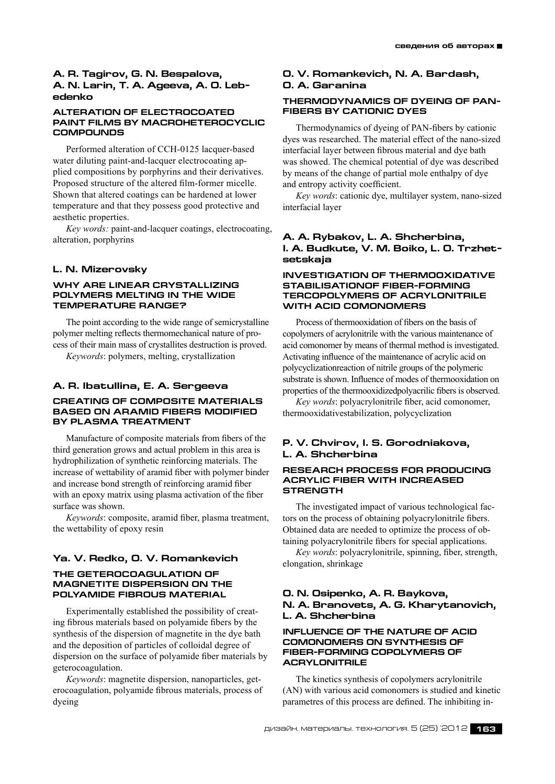#### **A. R. Tagirov, G. N. Bespalova, A. N. Larin, T. A. Ageeva, A. O. Lebedenko**

#### **ALTERATION OF ELECTROCOATED PAINT FILMS BY MACROHETEROCYCLIC COMPOUNDS**

Performed alteration of CCH-0125 lacquer-based water diluting paint-and-lacquer electrocoating applied compositions by porphyrins and their derivatives. Proposed structure of the altered film-former micelle. Shown that altered coatings can be hardened at lower temperature and that they possess good protective and aesthetic properties.

*Key words:* paint-and-lacquer coatings, electrocoating, alteration, porphyrins

#### **L. N. Mizerovsky**

#### **Why are linear crystallizing polymers melting in the wide temperature range?**

The point according to the wide range of semicrystalline polymer melting reflects thermomechanical nature of process of their main mass of crystallites destruction is proved. *Keywords*: polymers, melting, crystallization

# **A. R. Ibatullina, E. A. Sergeeva**

## **CREATING OF COMPOSITE MATERIALS BASED ON ARAMID FIBERS MODIFIED BY PLASMA TREATMENT**

Manufacture of composite materials from fibers of the third generation grows and actual problem in this area is hydrophilization of synthetic reinforcing materials. The increase of wettability of aramid fiber with polymer binder and increase bond strength of reinforcing aramid fiber with an epoxy matrix using plasma activation of the fiber surface was shown.

*Keywords*: composite, aramid fiber, plasma treatment, the wettability of epoxy resin

## **Ya. V. Redko, O. V. Romankevich**

#### **The geterocoagulation of magnetite dispersion on the polyamide FIBROUS material**

Experimentally established the possibility of creating fibrous materials based on polyamide fibers by the synthesis of the dispersion of magnetite in the dye bath and the deposition of particles of colloidal degree of dispersion on the surface of polyamide fiber materials by geterocoagulation.

*Keywords*: magnetite dispersion, nanoparticles, geterocoagulation, polyamide fibrous materials, process of dyeing

## **О. V. Romankevich, N. А. Bardash, О. А. Garanina**

#### **Thermodynamics of dyeing of PANfibers by cationic dyes**

Thermodynamics of dyeing of PAN-fibers by cationic dyes was researched. The material effect of the nano-sized interfacial layer between fibrous material and dye bath was showed. The chemical potential of dye was described by means of the change of partial mole enthalpy of dye and entropy activity coefficient.

*Key words*: cationic dye, multilayer system, nano-sized interfacial layer

#### **A. A. Rybakov, L. A. Shcherbina, I. A. Budkute, V. M. Boiko, L. O. Trzhetsetskaja**

#### **INVESTIGATION OF THERMOOXIDATIVE STABILISATIONOF FIBER-FORMING TERCOPOLYMERS OF ACRYLONITRILE WITH ACID COMONOMERS**

Process of thermooxidation of fibers on the basis of copolymers of acrylonitrile with the various maintenance of acid comonomer by means of thermal method is investigated. Activating influence of the maintenance of acrylic acid on polycyclizationreaction of nitrile groups of the polymeric substrate is shown. Influence of modes of thermooxidation on properties of the thermooxidizedpolyacrilic fibers is observed.

*Key words*: polyacrylonitrile fiber, acid comonomer, thermooxidativestabilization, polycyclization

### **P. V. Chvirov, I. S. Gorodniakova, L. A. Shcherbina**

#### **RESEARCH PROCESS FOR PRODUCING ACRYLIC FIBER WITH INCREASED STRENGTH**

The investigated impact of various technological factors on the process of obtaining polyacrylonitrile fibers. Obtained data are needed to optimize the process of obtaining polyacrylonitrile fibers for special applications.

*Key words*: polyacrylonitrile, spinning, fiber, strength, elongation, shrinkage

#### **O. N. Osipenko, А. R. Baykova, N. A. Branovets, A. G. Kharytanovich, L. A. Shcherbina**

#### **Influence of the nature of acid comonomers on synthesis of fiber-forming copolymers of acrylonitrile**

The kinetics synthesis of copolymers acrylonitrile (АN) with various acid comonomers is studied and kinetic parametres of this process are defined. The inhibiting in-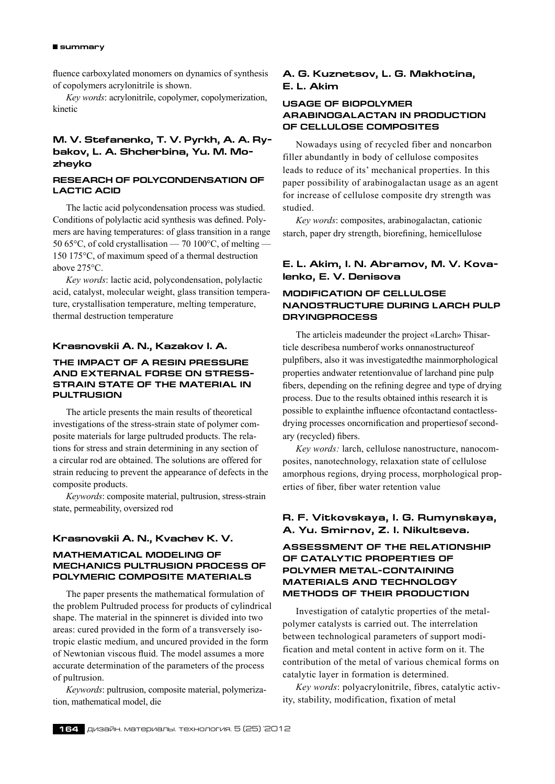#### **summary**

fluence carboxylated monomers on dynamics of synthesis of copolymers acrylonitrile is shown.

*Key words*: acrylonitrile, copolymer, copolymerization, kinetic

## **M. V. Stefanenko, T. V. Pyrkh, A. A. Rybakov, L. A. Shcherbina, Yu. M. Mozheyko**

#### **RESEARCH OF POLYCONDENSATION OF LACTIC ACID**

The lactic acid polycondensation process was studied. Conditions of polylactic acid synthesis was defined. Polymers are having temperatures: of glass transition in a range 50 65°С, of cold crystallisation — 70 100°С, of melting — 150 175°С, of maximum speed of a thermal destruction above 275°С.

*Key words*: lactic acid, polycondensation, polylactic acid, catalyst, molecular weight, glass transition temperature, crystallisation temperature, melting temperature, thermal destruсtion temperature

#### **Krasnovskii A. N., Kazakov I. A.**

#### **The impact of a resin pressure and external forse on stressstrain state of the material in pultrusion**

The article presents the main results of theoretical investigations of the stress-strain state of polymer composite materials for large pultruded products. The relations for stress and strain determining in any section of a circular rod are obtained. The solutions are offered for strain reducing to prevent the appearance of defects in the composite products.

*Keywords*: composite material, pultrusion, stress-strain state, permeability, oversized rod

#### **Krasnovskii A. N., Kvachev K. V.**

#### **MATHEMATICAL MODELING OF MECHANICS PULTRUSION PROCESS OF POLYMERIC COMPOSITE MATERIALS**

The paper presents the mathematical formulation of the problem Pultruded process for products of cylindrical shape. The material in the spinneret is divided into two areas: cured provided in the form of a transversely isotropic elastic medium, and uncured provided in the form of Newtonian viscous fluid. The model assumes a more accurate determination of the parameters of the process of pultrusion.

*Keywords*: pultrusion, composite material, polymerization, mathematical model, die

## **A. G. Kuznetsov, L. G. Makhotina, E. L. Akim**

## **Usage of biopolymer arabinogalactan in production of cellulose composites**

Nowadays using of recycled fiber and noncarbon filler abundantly in body of cellulose composites leads to reduce of its' mechanical properties. In this paper possibility of arabinogalactan usage as an agent for increase of cellulose composite dry strength was studied.

*Key words*: composites, arabinogalactan, cationic starch, paper dry strength, biorefining, hemicellulose

## **E. L. Akim, I. N. Abramov, M. V. Kovalenko, E. V. Denisova**

## **MODIFICATION OF CELLULOSE NANOSTRUCTURE DURING LARCH PULP DRYINGPROCESS**

The articleis madeunder the project «Larch» Thisarticle describesa numberof works onnanostructureof pulpfibers, also it was investigatedthe mainmorphological properties andwater retentionvalue of larchand pine pulp fibers, depending on the refining degree and type of drying process. Due to the results obtained inthis research it is possible to explainthe influence ofcontactand contactlessdrying processes oncornification and propertiesof secondary (recycled) fibers.

*Key words:* larch, cellulose nanostructure, nanocomposites, nanotechnology, relaxation state of cellulose amorphous regions, drying process, morphological properties of fiber, fiber water retention value

## **R. F. Vitkovskaya, I. G. Rumynskaya, A. Yu. Smirnov, Z. I. Nikultseva.**

## **Assessment of the Relationship of Catalytic Properties of Polymer Metal-Containing Materials and Technology methods of Their Production**

Investigation of catalytic properties of the metalpolymer catalysts is carried out. The interrelation between technological parameters of support modification and metal content in active form on it. The contribution of the metal of various chemical forms on catalytic layer in formation is determined.

*Key words*: polyacrylonitrile, fibres, catalytic activity, stability, modification, fixation of metal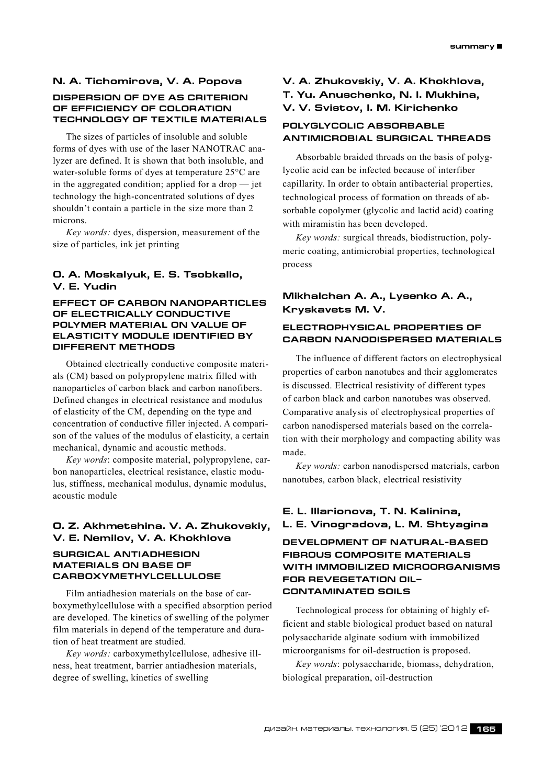## **N. A. Tichomirova, V. A. Popova**

## **DISPERSION OF DYE AS CRITERION OF EFFICIENCY OF COLORATION TECHNOLOGY OF TEXTILE MATERIALS**

The sizes of particles of insoluble and soluble forms of dyes with use of the laser NANOTRAC analyzer are defined. It is shown that both insoluble, and water-soluble forms of dyes at temperature 25°С are in the aggregated condition; applied for a drop — jet technology the high-concentrated solutions of dyes shouldn't contain a particle in the size more than 2 microns.

*Key words:* dyes, dispersion, measurement of the size of particles, ink jet printing

## **O. A. Moskalyuk, E. S. Tsobkallo, V. E. Yudin**

#### **Effect of carbon nanoparticles of electrically conductive polymer material on value of elasticity module identified by different methods**

Obtained electrically conductive composite materials (CM) based on polypropylene matrix filled with nanoparticles of carbon black and carbon nanofibers. Defined changes in electrical resistance and modulus of elasticity of the CM, depending on the type and concentration of conductive filler injected. A comparison of the values of the modulus of elasticity, a certain mechanical, dynamic and acoustic methods.

*Key words*: composite material, polypropylene, carbon nanoparticles, electrical resistance, elastic modulus, stiffness, mechanical modulus, dynamic modulus, acoustic module

## **O. Z. Akhmetshina. V. A. Zhukovskiy, V. E. Nemilov, V. A. Khokhlova**

#### **SURGICAL ANTIADHESION MATERIALS ON BASE OF CARBOXYMETHYLCELLULOSE**

Film antiadhesion materials on the base of carboxymethylcellulose with a specified absorption period are developed. The kinetics of swelling of the polymer film materials in depend of the temperature and duration of heat treatment are studied.

*Key words:* carboxymethylcellulose, adhesive illness, heat treatment, barrier antiadhesion materials, degree of swelling, kinetics of swelling

## **V. A. Zhukovskiy, V. A. Khokhlova, T. Yu. Anuschenko, N. I. Mukhina, V. V. Svistov, I. M. Kirichenko**

## **POLYGLYCOLIC ABSORBABLE ANTIMICROBIAL SURGICAL THREADS**

Absorbable braided threads on the basis of polyglycolic acid can be infected because of interfiber capillarity. In order to obtain antibacterial properties, technological process of formation on threads of absorbable copolymer (glycolic and lactid acid) coating with miramistin has been developed.

*Key words:* surgical threads, biodistruction, polymeric coating, antimicrobial properties, technological process

## **Mikhalchan A. A., Lysenko A. A., Kryskavets M. V.**

## **electrophysical properties of carbon nanodispersed materials**

The influence of different factors on electrophysical properties of carbon nanotubes and their agglomerates is discussed. Electrical resistivity of different types of carbon black and carbon nanotubes was observed. Comparative analysis of electrophysical properties of carbon nanodispersed materials based on the correlation with their morphology and compacting ability was made.

*Key words:* carbon nanodispersed materials, carbon nanotubes, carbon black, electrical resistivity

## **E. L. Illarionova, T. N. Kalinina, L. E. Vinogradova, L. M. Shtyagina**

**DEVELOPMENT OF NATURAL-BASED FIBROUS COMPOSITE MATERIALS WITH IMMOBILIZED MICROORGANISMS FOR REVEGETATION OIL– CONTAMINATED SOILS**

Technological process for obtaining of highly efficient and stable biological product based on natural polysaccharide alginate sodium with immobilized microorganisms for oil-destruction is proposed.

*Key words*: polysaccharide, biomass, dehydration, biological preparation, oil-destruction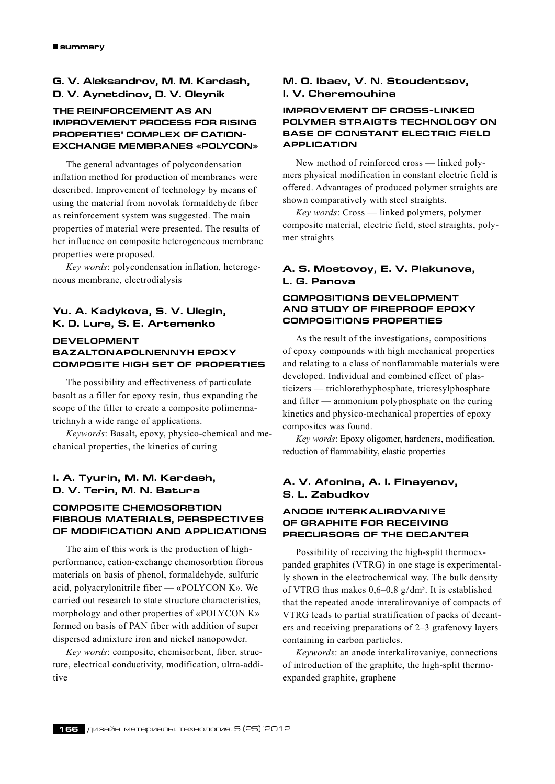## **G. V. Aleksandrov, M. M. Kardash, D. V. Aynetdinov, D. V. Oleynik**

## **THE REINFORCEMENT AS AN IMPROVEMENT PROCESS FOR RISING PROPERTIES' COMPLEX OF CATION-EXCHANGE MEMBRANES «POLYCON»**

The general advantages of polycondensation inflation method for production of membranes were described. Improvement of technology by means of using the material from novolak formaldehyde fiber as reinforcement system was suggested. The main properties of material were presented. The results of her influence on composite heterogeneous membrane properties were proposed.

*Key words*: polycondensation inflation, heterogeneous membrane, electrodialysis

#### **Yu. A. Kadykova, S. V. Ulegin, K. D. Lure, S. E. Artemenko**

## **DEVELOPMENT BAZALTONAPOLNENNYH EPOXY COMPOSITE HIGH SET OF PROPERTIES**

The possibility and effectiveness of particulate basalt as a filler for epoxy resin, thus expanding the scope of the filler to create a composite polimermatrichnyh a wide range of applications.

*Keywords*: Basalt, epoxy, physico-chemical and mechanical properties, the kinetics of curing

## **I. A. Tyurin, M. M. Kardash, D. V. Terin, M. N. Batura**

#### **COMPOSITE CHEMOSORBTION FIBROUS MATERIALS, PERSPECTIVES OF MODIFICATION AND APPLICATIONS**

The aim of this work is the production of highperformance, cation-exchange chemosorbtion fibrous materials on basis of phenol, formaldehyde, sulfuric acid, polyacrylonitrile fiber — «POLYCON K». We carried out research to state structure characteristics, morphology and other properties of «POLYCON K» formed on basis of PAN fiber with addition of super dispersed admixture iron and nickel nanopowder.

*Key words*: composite, chemisorbent, fiber, structure, electrical conductivity, modification, ultra-additive

## **M. O. Ibaev, V. N. Stoudentsov, I. V. Cheremouhina**

#### **IMPROVEMENT OF CROSS-LINKED POLYMER STRAIGTS TECHNOLOGY ON BASE OF CONSTANT ELECTRIC FIELD APPLICATION**

New method of reinforced cross — linked polymers physical modification in constant electric field is offered. Advantages of produced polymer straights are shown comparatively with steel straights.

*Key words*: Cross — linked polymers, polymer composite material, electric field, steel straights, polymer straights

## **A. S. Mostovoy, E. V. Plakunova, L. G. Panova**

#### **COMPOSITIONS DEVELOPMENT AND STUDY OF FIREPROOF EPOXY COMPOSITIONS PROPERTIES**

As the result of the investigations, compositions of epoxy compounds with high mechanical properties and relating to a class of nonflammable materials were developed. Individual and combined effect of plasticizers — trichlorethyphosphate, tricresylphosphate and filler — ammonium polyphosphate on the curing kinetics and physico-mechanical properties of epoxy composites was found.

*Key words*: Epoxy oligomer, hardeners, modification, reduction of flammability, elastic properties

## **A. V. Afonina, A. I. Finayenov, S. L. Zabudkov**

## **ANODE INTERKALIROVANIYE OF GRAPHITE FOR RECEIVING PRECURSORS OF THE DECANTER**

Possibility of receiving the high-split thermoexpanded graphites (VTRG) in one stage is experimentally shown in the electrochemical way. The bulk density of VTRG thus makes  $0,6-0,8 \text{ g/dm}^3$ . It is established that the repeated anode interalirovaniye of compacts of VTRG leads to partial stratification of packs of decanters and receiving preparations of 2–3 grafenovy layers containing in carbon particles.

*Keywords*: an anode interkalirovaniye, connections of introduction of the graphite, the high-split thermoexpanded graphite, graphene